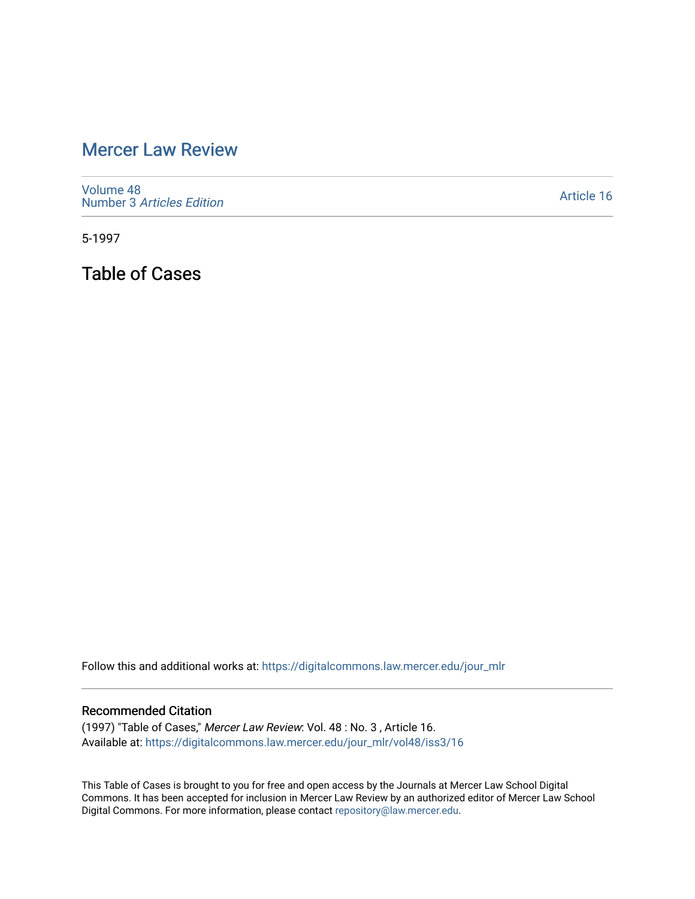## [Mercer Law Review](https://digitalcommons.law.mercer.edu/jour_mlr)

[Volume 48](https://digitalcommons.law.mercer.edu/jour_mlr/vol48) Number 3 [Articles Edition](https://digitalcommons.law.mercer.edu/jour_mlr/vol48/iss3) 

[Article 16](https://digitalcommons.law.mercer.edu/jour_mlr/vol48/iss3/16) 

5-1997

Table of Cases

Follow this and additional works at: [https://digitalcommons.law.mercer.edu/jour\\_mlr](https://digitalcommons.law.mercer.edu/jour_mlr?utm_source=digitalcommons.law.mercer.edu%2Fjour_mlr%2Fvol48%2Fiss3%2F16&utm_medium=PDF&utm_campaign=PDFCoverPages)

## Recommended Citation

(1997) "Table of Cases," Mercer Law Review: Vol. 48 : No. 3 , Article 16. Available at: [https://digitalcommons.law.mercer.edu/jour\\_mlr/vol48/iss3/16](https://digitalcommons.law.mercer.edu/jour_mlr/vol48/iss3/16?utm_source=digitalcommons.law.mercer.edu%2Fjour_mlr%2Fvol48%2Fiss3%2F16&utm_medium=PDF&utm_campaign=PDFCoverPages) 

This Table of Cases is brought to you for free and open access by the Journals at Mercer Law School Digital Commons. It has been accepted for inclusion in Mercer Law Review by an authorized editor of Mercer Law School Digital Commons. For more information, please contact [repository@law.mercer.edu](mailto:repository@law.mercer.edu).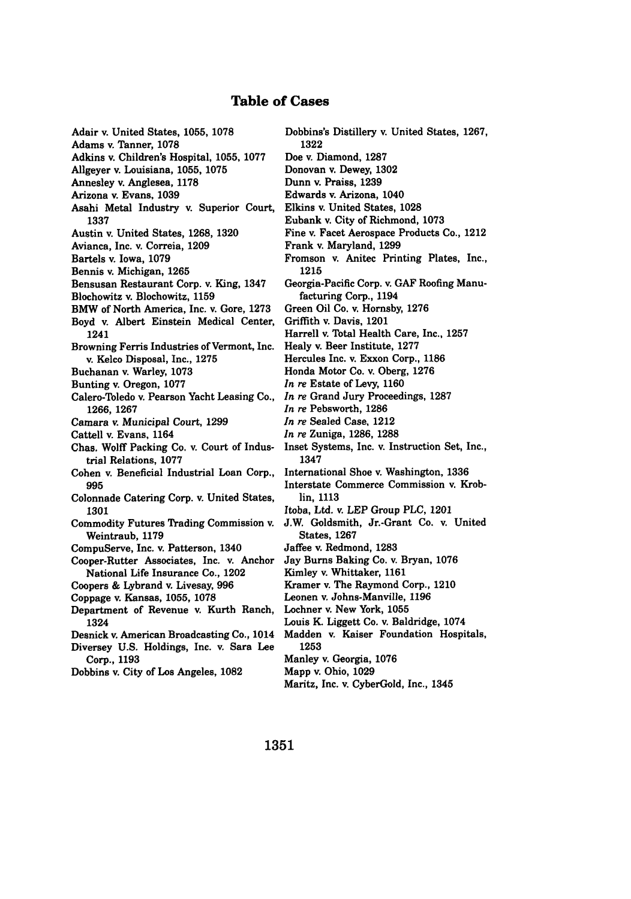## **Table of Cases**

Adair v. United States, **1055,** 1078 Adams v. Tanner, **1078** Adkins v. Children's Hospital, **1055, 1077** Allgeyer v. Louisiana, 1055, **1075** Annesley v. Anglesea, 1178 Arizona v. Evans, **1039** Asahi Metal Industry v. Superior Court, **1337** Austin v. United States, **1268, 1320** Avianca, Inc. v. Correia, **1209** Bartels v. Iowa, **1079** Bennis v. Michigan, **1265** Bensusan Restaurant Corp. v. King, 1347 Blochowitz v. Blochowitz, **1159** BMW of North America, Inc. v. Gore, **1273** Boyd v. Albert Einstein Medical Center, 1241 Browning Ferris Industries of Vermont, Inc. v. Kelco Disposal, Inc., **1275** Buchanan v. Warley, 1073 Bunting v. Oregon, 1077 Calero-Toledo v. Pearson Yacht Leasing Co., **1266, 1267** Camara v. Municipal Court, **1299** Cattell v. Evans, 1164 Chas. Wolff Packing Co. v. Court of Industrial Relations, 1077 Cohen v. Beneficial Industrial Loan Corp., **995** Colonnade Catering Corp. v. United States, **1301** Commodity Futures Trading Commission v. Weintraub, 1179 CompuServe, Inc. v. Patterson, 1340 Cooper-Rutter Associates, Inc. v. Anchor National Life Insurance Co., 1202 Coopers & Lybrand v. Livesay, **996** Coppage v. Kansas, **1055,** 1078 Department of Revenue v. Kurth Ranch, 1324 Desnick v. American Broadcasting Co., 1014 Diversey **U.S.** Holdings, Inc. v. Sara Lee Corp., **1193** Dobbins v. City of Los Angeles, **1082**

Dobbins's Distillery v. United States, **1267, 1322** Doe v. Diamond, **1287** Donovan v. Dewey, **1302** Dunn v. Praiss, **1239** Edwards v. Arizona, 1040 Elkins v. United States, **1028** Eubank v. City of Richmond, **1073** Fine v. Facet Aerospace Products Co., 1212 Frank v. Maryland, **1299** Fromson v. Anitec Printing Plates, Inc., **1215** Georgia-Pacific Corp. v. **GAF** Roofing Manufacturing Corp., 1194 Green Oil Co. v. Hornsby, **1276** Griffith v. Davis, 1201 Harrell v. Total Health Care, Inc., **1257** Healy v. Beer Institute, **1277** Hercules Inc. v. Exxon Corp., 1186 Honda Motor Co. v. Oberg, **1276** *In re* Estate of Levy, **1160** *In re* Grand Jury Proceedings, **1287** *In re* Pebsworth, **1286** *In re* Sealed Case, 1212 *In re* Zuniga, **1286, 1288** Inset Systems, Inc. v. Instruction Set, Inc., 1347 International Shoe v. Washington, **1336** Interstate Commerce Commission v. Krob**lin,** 1113 Itoba, Ltd. v. LEP Group PLC, 1201 **J.W.** Goldsmith, Jr.-Grant Co. v. United States, **1267** Jaffee v. Redmond, **1283** Jay **Burns** Baking Co. v. Bryan, **1076** Kimley v. Whittaker, **1161** Kramer v. The Raymond Corp., 1210 Leonen v. Johns-Manville, **1196** Lochner v. New York, **1055** Louis K. Liggett Co. **v.** Baldridge, 1074 Madden v. Kaiser Foundation Hospitals, **1253** Manley **v.** Georgia, **1076** Mapp v. Ohio, **1029**

Maritz, Inc. v. CyberGold, Inc., 1345